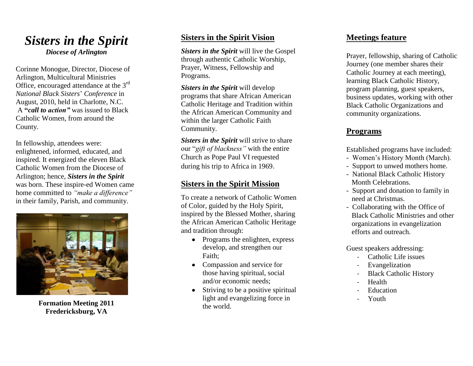# *Sisters in the Spirit Diocese of Arlington*

Corinne Monogue, Director, Diocese of Arlington, Multicultural Ministries Office, encouraged attendance at the 3<sup>rd</sup> *National Black Sisters*' *Conference* in August, 2010, held in Charlotte, N.C. A **"***call to action"* was issued to Black Catholic Women, from around the County.

In fellowship, attendees were: enlightened, informed, educated, and inspired. It energized the eleven Black Catholic Women from the Diocese of Arlington; hence, *Sisters in the Spirit* was born. These inspire -ed Women came home committed to *"make a difference"* in their family, Parish, and community.



**Formation Meeting 2011 Fredericksburg, VA**

## **Sisters in the Spirit Vision**

*Sisters in the Spirit* will live the Gospel through authentic Catholic Worship, Prayer, Witness, Fellowship and Programs.

*Sisters in the Spirit* will develop programs that share African American Catholic Heritage and Tradition within the African American Community and within the larger Catholic Faith Community.

*Sisters in the Spirit* will strive to share our "*gift of blackness"* with the entire Church as Pope Paul VI requested during his trip to Africa in 1969.

#### **Sisters in the Spirit Mission**

To create a network of Catholic Women of Color, guided by the Holy Spirit, inspired by the Blessed Mother, sharing the African American Catholic Heritage and tradition through:

- Programs the enlighten, express develop, and strengthen our Faith;
- Compassion and service for those having spiritual, social and/or economic needs;
- $\bullet$  Striving to be a positive spiritual light and evangelizing force in the world.

#### **Meetings feature**

Prayer, fellowship, sharing of Catholic Journey (one member shares their Catholic Journey at each meeting), learning Black Catholic History, program planning, guest speakers, business updates, working with other Black Catholic Organizations and community organizations.

## **Programs**

- Established programs have included: Women's History Month (March). Support to unwed mothers home.
- 
- National Black Catholic History Month Celebrations.
- Support and donation to family in need at Christmas.
- Collaborating with the Office of Black Catholic Ministries and other organizations in evangelization efforts and outreach.

Guest speakers addressing:

- Catholic Life issues
- **Evangelization**
- **Black Catholic History**
- Health
- **Education**
- Youth